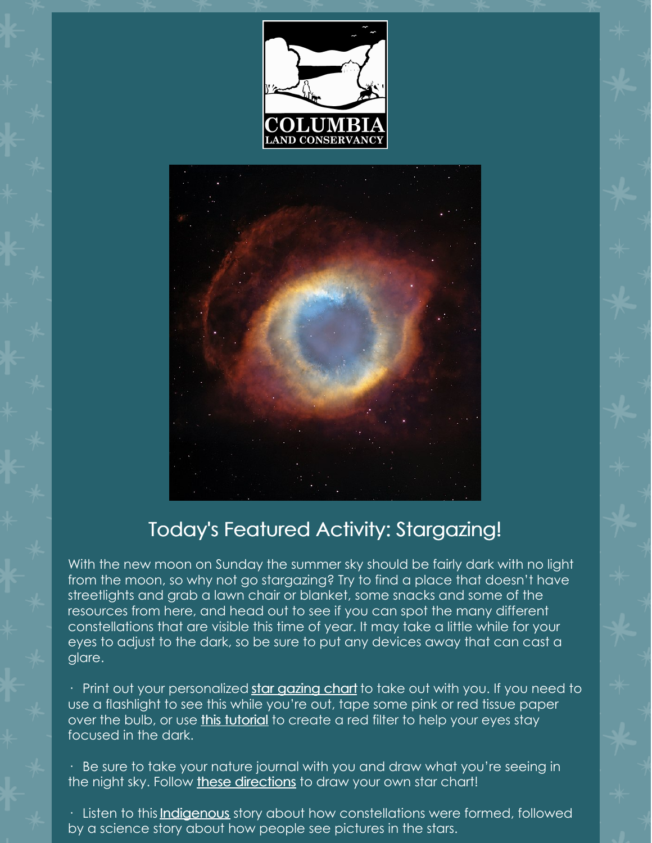



## Today's Featured Activity: Stargazing!

With the new moon on Sunday the summer sky should be fairly dark with no light from the moon, so why not go stargazing? Try to find a place that doesn't have streetlights and grab a lawn chair or blanket, some snacks and some of the resources from here, and head out to see if you can spot the many different constellations that are visible this time of year. It may take a little while for your eyes to adjust to the dark, so be sure to put any devices away that can cast a glare.

• Print out your personalized star [gazing](https://skyandtelescope.org/interactive-sky-chart/) chart to take out with you. If you need to use a flashlight to see this while you're out, tape some pink or red tissue paper over the bulb, or use *this [tutorial](https://youtu.be/6qM_YEFgMV8)* to create a red filter to help your eyes stay focused in the dark.

· Be sure to take your nature journal with you and draw what you're seeing in the night sky. Follow these [directions](https://www.amnh.org/explore/ology/astronomy/a-kid-s-guide-to-stargazing) to draw your own star chart!

· Listen to this *[Indigenous](https://www.lpi.usra.edu/education/skytellers/constellations/preview/)* story about how constellations were formed, followed by a science story about how people see pictures in the stars.